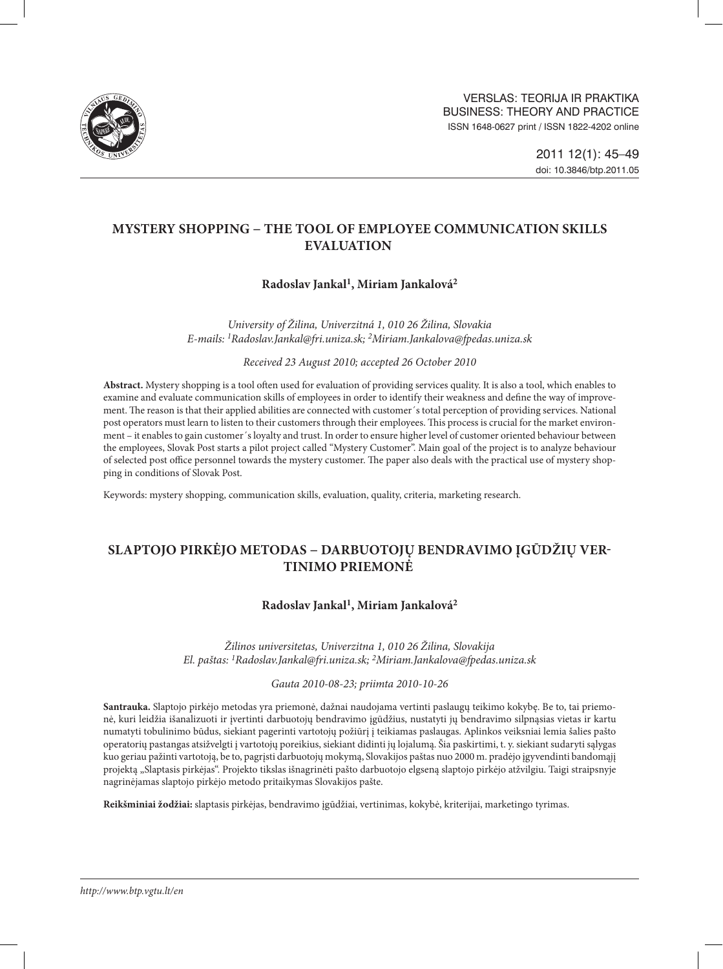

# **Mystery Shopping − The Tool of Employee Communication Skills Evaluation**

## **Radoslav Jankal1, Miriam Jankalová2**

*University of Žilina, Univerzitná 1, 010 26 Žilina, Slovakia E-mails: 1Radoslav.Jankal@fri.uniza.sk; 2Miriam.Jankalova@fpedas.uniza.sk*

*Received 23 August 2010; accepted 26 october 2010*

**Abstract.** Mystery shopping is a tool often used for evaluation of providing services quality. It is also a tool, which enables to examine and evaluate communication skills of employees in order to identify their weakness and define the way of improvement. The reason is that their applied abilities are connected with customer´s total perception of providing services. National post operators must learn to listen to their customers through their employees. This process is crucial for the market environment – it enables to gain customer´s loyalty and trust. In order to ensure higher level of customer oriented behaviour between the employees, Slovak Post starts a pilot project called "Mystery Customer". Main goal of the project is to analyze behaviour of selected post office personnel towards the mystery customer. The paper also deals with the practical use of mystery shopping in conditions of Slovak Post.

Keywords: mystery shopping, communication skills, evaluation, quality, criteria, marketing research.

# **SLAPTOjo PIRKĖJO METODAS − Darbuotojų bendravimo įgūdžių vertinimo priemonĖ**

## **Radoslav Jankal1, Miriam Jankalová2**

*Žilinos universitetas, Univerzitna 1, 010 26 Žilina, Slovakija El. paštas: 1Radoslav.Jankal@fri.uniza.sk; 2Miriam.Jankalova@fpedas.uniza.sk*

*Gauta 2010-08-23; priimta 2010-10-26* 

**Santrauka.** Slaptojo pirkėjo metodas yra priemonė, dažnai naudojama vertinti paslaugų teikimo kokybę. Be to, tai priemonė, kuri leidžia išanalizuoti ir įvertinti darbuotojų bendravimo įgūdžius, nustatyti jų bendravimo silpnąsias vietas ir kartu numatyti tobulinimo būdus, siekiant pagerinti vartotojų požiūrį į teikiamas paslaugas. Aplinkos veiksniai lemia šalies pašto operatorių pastangas atsižvelgti į vartotojų poreikius, siekiant didinti jų lojalumą. Šia paskirtimi, t. y. siekiant sudaryti sąlygas kuo geriau pažinti vartotoją, be to, pagrįsti darbuotojų mokymą, Slovakijos paštas nuo 2000 m. pradėjo įgyvendinti bandomąjį projektą "Slaptasis pirkėjas". Projekto tikslas išnagrinėti pašto darbuotojo elgseną slaptojo pirkėjo atžvilgiu. Taigi straipsnyje nagrinėjamas slaptojo pirkėjo metodo pritaikymas Slovakijos pašte.

**Reikšminiai žodžiai:** slaptasis pirkėjas, bendravimo įgūdžiai, vertinimas, kokybė, kriterijai, marketingo tyrimas.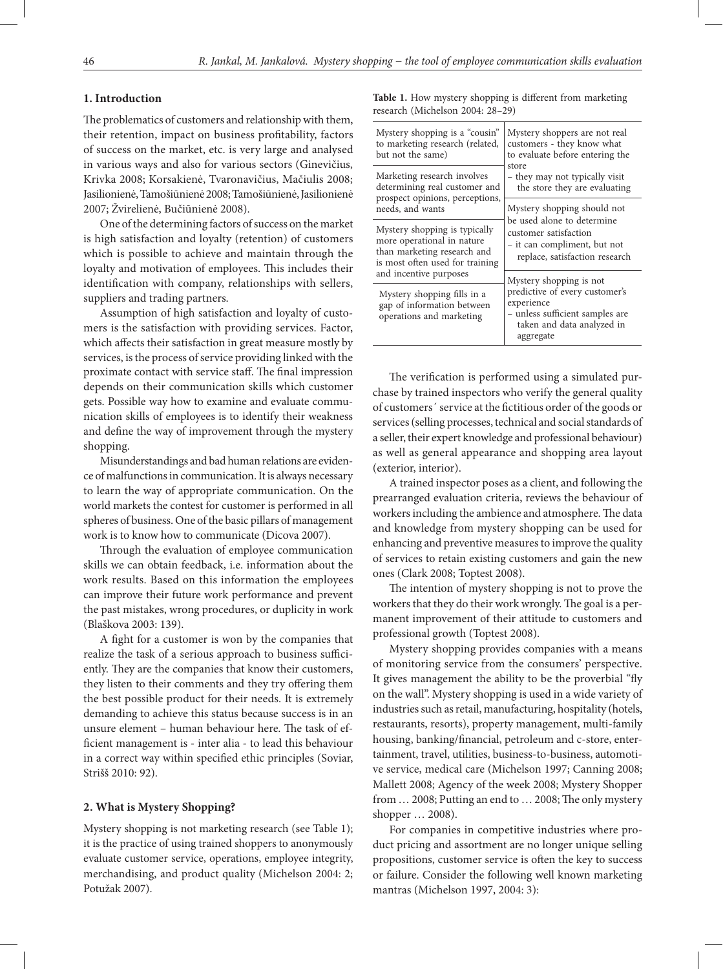### **1. Introduction**

The problematics of customers and relationship with them, their retention, impact on business profitability, factors of success on the market, etc. is very large and analysed in various ways and also for various sectors (Ginevičius, Krivka 2008; Korsakienė, Tvaronavičius, Mačiulis 2008; Jasilionienė, Tamošiūnienė 2008; Tamošiūnienė, Jasilionienė 2007; Žvirelienė, Bučiūnienė 2008).

One of the determining factors of success on the market is high satisfaction and loyalty (retention) of customers which is possible to achieve and maintain through the loyalty and motivation of employees. This includes their identification with company, relationships with sellers, suppliers and trading partners.

Assumption of high satisfaction and loyalty of customers is the satisfaction with providing services. Factor, which affects their satisfaction in great measure mostly by services, is the process of service providing linked with the proximate contact with service staff. The final impression depends on their communication skills which customer gets. Possible way how to examine and evaluate communication skills of employees is to identify their weakness and define the way of improvement through the mystery shopping.

Misunderstandings and bad human relations are evidence of malfunctions in communication. It is always necessary to learn the way of appropriate communication. On the world markets the contest for customer is performed in all spheres of business. One of the basic pillars of management work is to know how to communicate (Dicova 2007).

Through the evaluation of employee communication skills we can obtain feedback, i.e. information about the work results. Based on this information the employees can improve their future work performance and prevent the past mistakes, wrong procedures, or duplicity in work (Blaškova 2003: 139).

A fight for a customer is won by the companies that realize the task of a serious approach to business sufficiently. They are the companies that know their customers, they listen to their comments and they try offering them the best possible product for their needs. It is extremely demanding to achieve this status because success is in an unsure element – human behaviour here. The task of efficient management is - inter alia - to lead this behaviour in a correct way within specified ethic principles (Soviar, Strišš 2010: 92).

## **2. What is Mystery Shopping?**

Mystery shopping is not marketing research (see Table 1); it is the practice of using trained shoppers to anonymously evaluate customer service, operations, employee integrity, merchandising, and product quality (Michelson 2004: 2; Potužak 2007).

**Table 1.** How mystery shopping is different from marketing research (Michelson 2004: 28–29)

| Mystery shopping is a "cousin"<br>to marketing research (related,<br>but not the same)                                                                  | Mystery shoppers are not real<br>customers - they know what<br>to evaluate before entering the<br>store<br>- they may not typically visit<br>the store they are evaluating |  |  |
|---------------------------------------------------------------------------------------------------------------------------------------------------------|----------------------------------------------------------------------------------------------------------------------------------------------------------------------------|--|--|
| Marketing research involves<br>determining real customer and<br>prospect opinions, perceptions,                                                         |                                                                                                                                                                            |  |  |
| needs, and wants                                                                                                                                        | Mystery shopping should not                                                                                                                                                |  |  |
| Mystery shopping is typically<br>more operational in nature<br>than marketing research and<br>is most often used for training<br>and incentive purposes | be used alone to determine<br>customer satisfaction<br>– it can compliment, but not<br>replace, satisfaction research                                                      |  |  |
|                                                                                                                                                         | Mystery shopping is not                                                                                                                                                    |  |  |
| Mystery shopping fills in a<br>gap of information between<br>operations and marketing                                                                   | predictive of every customer's<br>experience<br>– unless sufficient samples are<br>taken and data analyzed in<br>aggregate                                                 |  |  |

The verification is performed using a simulated purchase by trained inspectors who verify the general quality of customers´ service at the fictitious order of the goods or services (selling processes, technical and social standards of a seller, their expert knowledge and professional behaviour) as well as general appearance and shopping area layout (exterior, interior).

A trained inspector poses as a client, and following the prearranged evaluation criteria, reviews the behaviour of workers including the ambience and atmosphere. The data and knowledge from mystery shopping can be used for enhancing and preventive measures to improve the quality of services to retain existing customers and gain the new ones (Clark 2008; Toptest 2008).

The intention of mystery shopping is not to prove the workers that they do their work wrongly. The goal is a permanent improvement of their attitude to customers and professional growth (Toptest 2008).

Mystery shopping provides companies with a means of monitoring service from the consumers' perspective. It gives management the ability to be the proverbial "fly on the wall". Mystery shopping is used in a wide variety of industries such as retail, manufacturing, hospitality (hotels, restaurants, resorts), property management, multi-family housing, banking/financial, petroleum and c-store, entertainment, travel, utilities, business-to-business, automotive service, medical care (Michelson 1997; Canning 2008; Mallett 2008; Agency of the week 2008; Mystery Shopper from … 2008; Putting an end to … 2008; The only mystery shopper … 2008).

For companies in competitive industries where product pricing and assortment are no longer unique selling propositions, customer service is often the key to success or failure. Consider the following well known marketing mantras (Michelson 1997, 2004: 3):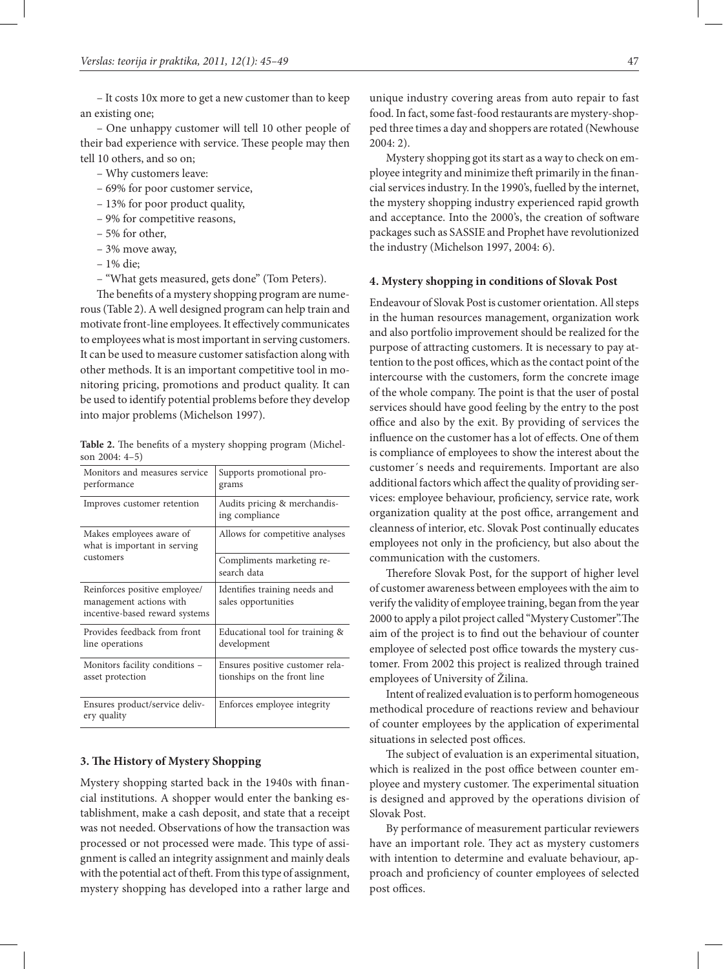– One unhappy customer will tell 10 other people of their bad experience with service. These people may then tell 10 others, and so on;

- Why customers leave:
- 69% for poor customer service,
- 13% for poor product quality,
- 9% for competitive reasons,
- 5% for other,
- 3% move away,
- 1% die;
- "What gets measured, gets done" (Tom Peters).

The benefits of a mystery shopping program are numerous (Table 2). A well designed program can help train and motivate front-line employees. It effectively communicates to employees what is most important in serving customers. It can be used to measure customer satisfaction along with other methods. It is an important competitive tool in monitoring pricing, promotions and product quality. It can be used to identify potential problems before they develop into major problems (Michelson 1997).

| Table 2. The benefits of a mystery shopping program (Michel- |  |  |
|--------------------------------------------------------------|--|--|
| son 2004: 4–5)                                               |  |  |

| Monitors and measures service<br>performance                                               | Supports promotional pro-<br>grams                             |
|--------------------------------------------------------------------------------------------|----------------------------------------------------------------|
| Improves customer retention                                                                | Audits pricing & merchandis-<br>ing compliance                 |
| Makes employees aware of<br>what is important in serving                                   | Allows for competitive analyses                                |
| customers                                                                                  | Compliments marketing re-<br>search data                       |
| Reinforces positive employee/<br>management actions with<br>incentive-based reward systems | Identifies training needs and<br>sales opportunities           |
| Provides feedback from front<br>line operations                                            | Educational tool for training &<br>development                 |
| Monitors facility conditions -<br>asset protection                                         | Ensures positive customer rela-<br>tionships on the front line |
| Ensures product/service deliv-<br>ery quality                                              | Enforces employee integrity                                    |

### **3. The History of Mystery Shopping**

Mystery shopping started back in the 1940s with financial institutions. A shopper would enter the banking establishment, make a cash deposit, and state that a receipt was not needed. Observations of how the transaction was processed or not processed were made. This type of assignment is called an integrity assignment and mainly deals with the potential act of theft. From this type of assignment, mystery shopping has developed into a rather large and

unique industry covering areas from auto repair to fast food. In fact, some fast-food restaurants are mystery-shopped three times a day and shoppers are rotated (Newhouse 2004: 2).

Mystery shopping got its start as a way to check on employee integrity and minimize theft primarily in the financial services industry. In the 1990's, fuelled by the internet, the mystery shopping industry experienced rapid growth and acceptance. Into the 2000's, the creation of software packages such as SASSIE and Prophet have revolutionized the industry (Michelson 1997, 2004: 6).

#### **4. Mystery shopping in conditions of Slovak Post**

Endeavour of Slovak Post is customer orientation. All steps in the human resources management, organization work and also portfolio improvement should be realized for the purpose of attracting customers. It is necessary to pay attention to the post offices, which as the contact point of the intercourse with the customers, form the concrete image of the whole company. The point is that the user of postal services should have good feeling by the entry to the post office and also by the exit. By providing of services the influence on the customer has a lot of effects. One of them is compliance of employees to show the interest about the customer´s needs and requirements. Important are also additional factors which affect the quality of providing services: employee behaviour, proficiency, service rate, work organization quality at the post office, arrangement and cleanness of interior, etc. Slovak Post continually educates employees not only in the proficiency, but also about the communication with the customers.

Therefore Slovak Post, for the support of higher level of customer awareness between employees with the aim to verify the validity of employee training, began from the year 2000 to apply a pilot project called "Mystery Customer".The aim of the project is to find out the behaviour of counter employee of selected post office towards the mystery customer. From 2002 this project is realized through trained employees of University of Žilina.

Intent of realized evaluation is to perform homogeneous methodical procedure of reactions review and behaviour of counter employees by the application of experimental situations in selected post offices.

The subject of evaluation is an experimental situation, which is realized in the post office between counter employee and mystery customer. The experimental situation is designed and approved by the operations division of Slovak Post.

By performance of measurement particular reviewers have an important role. They act as mystery customers with intention to determine and evaluate behaviour, approach and proficiency of counter employees of selected post offices.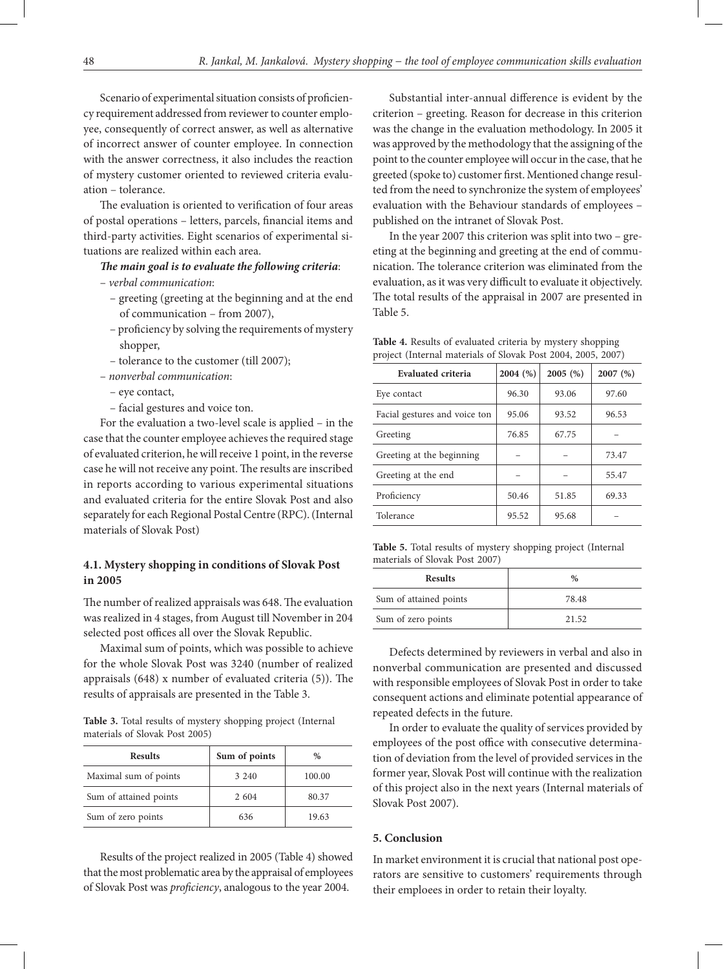Scenario of experimental situation consists of proficiency requirement addressed from reviewer to counter employee, consequently of correct answer, as well as alternative of incorrect answer of counter employee. In connection with the answer correctness, it also includes the reaction of mystery customer oriented to reviewed criteria evaluation – tolerance.

The evaluation is oriented to verification of four areas of postal operations – letters, parcels, financial items and third-party activities. Eight scenarios of experimental situations are realized within each area.

#### *The main goal is to evaluate the following criteria*:

- *verbal communication*:
	- greeting (greeting at the beginning and at the end of communication – from 2007),
	- proficiency by solving the requirements of mystery shopper,
	- tolerance to the customer (till 2007);
- *nonverbal communication*:
	- eye contact,
	- facial gestures and voice ton.

For the evaluation a two-level scale is applied – in the case that the counter employee achieves the required stage of evaluated criterion, he will receive 1 point, in the reverse case he will not receive any point. The results are inscribed in reports according to various experimental situations and evaluated criteria for the entire Slovak Post and also separately for each Regional Postal Centre (RPC). (Internal materials of Slovak Post)

## **4.1. Mystery shopping in conditions of Slovak Post in 2005**

The number of realized appraisals was 648. The evaluation was realized in 4 stages, from August till November in 204 selected post offices all over the Slovak Republic.

Maximal sum of points, which was possible to achieve for the whole Slovak Post was 3240 (number of realized appraisals (648) x number of evaluated criteria (5)). The results of appraisals are presented in the Table 3.

**Table 3.** Total results of mystery shopping project (Internal materials of Slovak Post 2005)

| <b>Results</b>         | Sum of points | $\frac{0}{0}$ |
|------------------------|---------------|---------------|
| Maximal sum of points  | 3 2 4 0       | 100.00        |
| Sum of attained points | 2 604         | 80.37         |
| Sum of zero points     | 636           | 19.63         |

Results of the project realized in 2005 (Table 4) showed that the most problematic area by the appraisal of employees of Slovak Post was *proficiency*, analogous to the year 2004.

Substantial inter-annual difference is evident by the criterion – greeting. Reason for decrease in this criterion was the change in the evaluation methodology. In 2005 it was approved by the methodology that the assigning of the point to the counter employee will occur in the case, that he greeted (spoke to) customer first. Mentioned change resulted from the need to synchronize the system of employees' evaluation with the Behaviour standards of employees – published on the intranet of Slovak Post.

In the year 2007 this criterion was split into two – greeting at the beginning and greeting at the end of communication. The tolerance criterion was eliminated from the evaluation, as it was very difficult to evaluate it objectively. The total results of the appraisal in 2007 are presented in Table 5.

**Table 4.** Results of evaluated criteria by mystery shopping project (Internal materials of Slovak Post 2004, 2005, 2007)

| Evaluated criteria            | 2004 (%) | 2005(%) | 2007(%) |
|-------------------------------|----------|---------|---------|
| Eye contact                   | 96.30    | 93.06   | 97.60   |
| Facial gestures and voice ton | 95.06    | 93.52   | 96.53   |
| Greeting                      | 76.85    | 67.75   |         |
| Greeting at the beginning     |          |         | 73.47   |
| Greeting at the end           |          |         | 55.47   |
| Proficiency                   | 50.46    | 51.85   | 69.33   |
| Tolerance                     | 95.52    | 95.68   |         |

**Table 5.** Total results of mystery shopping project (Internal materials of Slovak Post 2007)

| <b>Results</b>         | $\%$  |
|------------------------|-------|
| Sum of attained points | 78.48 |
| Sum of zero points     | 21.52 |

Defects determined by reviewers in verbal and also in nonverbal communication are presented and discussed with responsible employees of Slovak Post in order to take consequent actions and eliminate potential appearance of repeated defects in the future.

In order to evaluate the quality of services provided by employees of the post office with consecutive determination of deviation from the level of provided services in the former year, Slovak Post will continue with the realization of this project also in the next years (Internal materials of Slovak Post 2007).

#### **5. Conclusion**

In market environment it is crucial that national post operators are sensitive to customers' requirements through their emploees in order to retain their loyalty.